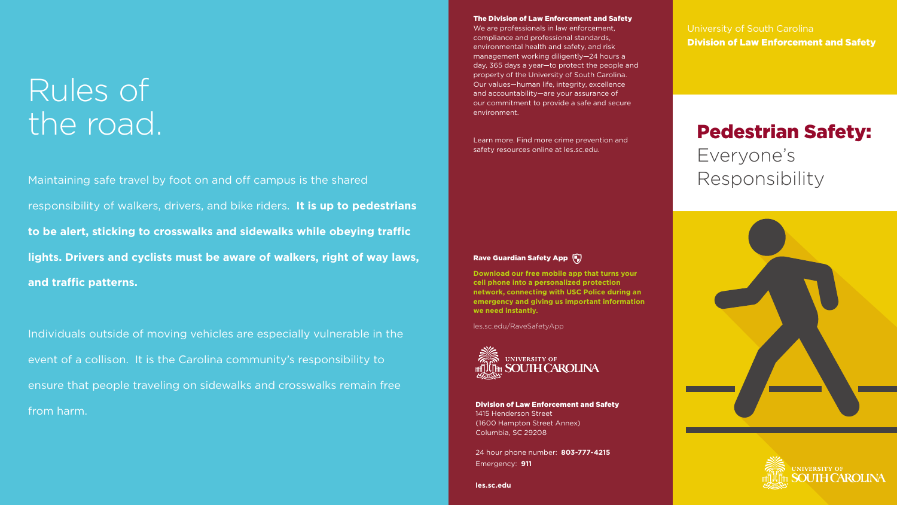# Rules of the road.

Maintaining safe travel by foot on and off campus is the shared responsibility of walkers, drivers, and bike riders. **It is up to pedestrians to be alert, sticking to crosswalks and sidewalks while obeying traffic lights. Drivers and cyclists must be aware of walkers, right of way laws, and traffic patterns.** 

Individuals outside of moving vehicles are especially vulnerable in the event of a collison. It is the Carolina community's responsibility to ensure that people traveling on sidewalks and crosswalks remain free from harm.

University of South Carolina Division of Law Enforcement and Safety

# Pedestrian Safety: Everyone's Responsibility





Division of Law Enforcement and Safety 1415 Henderson Street (1600 Hampton Street Annex) Columbia, SC 29208

24 hour phone number: **803-777-4215** Emergency: **911**

**les.sc.edu**

Learn more. Find more crime prevention and safety resources online at les.sc.edu.

### Rave Guardian Safety App (

**Download our free mobile app that turns your cell phone into a personalized protection network, connecting with USC Police during an emergency and giving us important information we need instantly.**

les.sc.edu/RaveSafetyApp



### The Division of Law Enforcement and Safety

We are professionals in law enforcement, compliance and professional standards, environmental health and safety, and risk management working diligently—24 hours a day, 365 days a year—to protect the people and property of the University of South Carolina. Our values—human life, integrity, excellence and accountability—are your assurance of our commitment to provide a safe and secure environment.